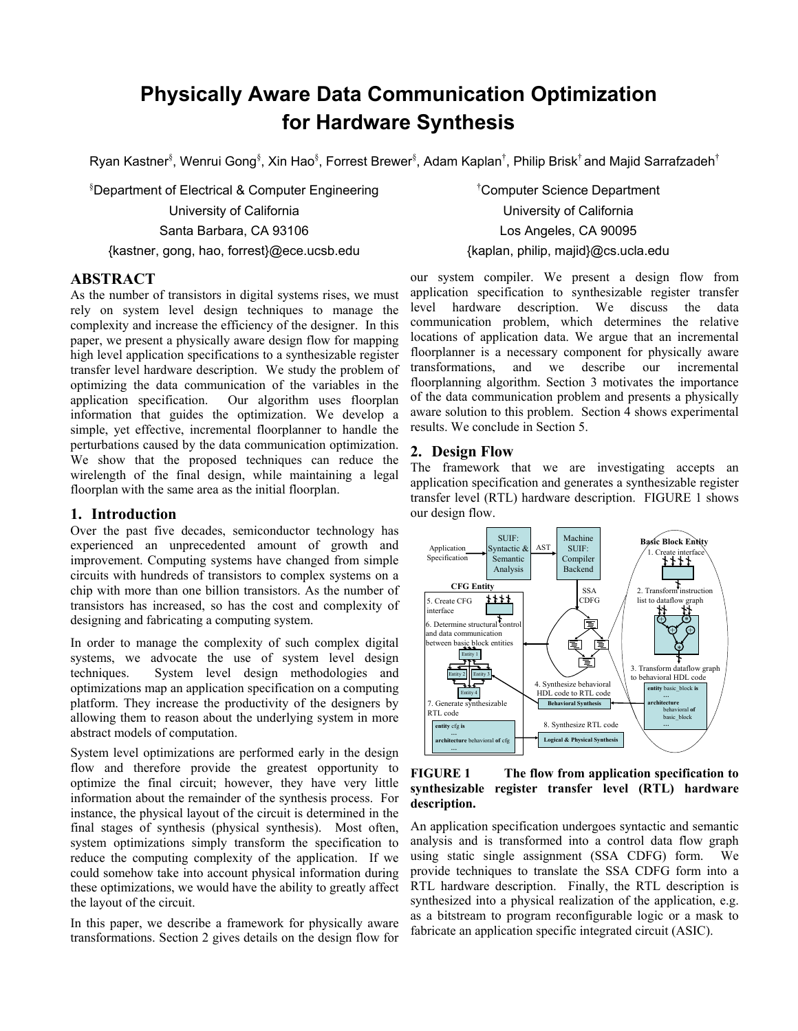# **Physically Aware Data Communication Optimization for Hardware Synthesis**

Ryan Kastner<sup>§</sup>, Wenrui Gong<sup>§</sup>, Xin Hao<sup>§</sup>, Forrest Brewer<sup>§</sup>, Adam Kaplan<sup>†</sup>, Philip Brisk<sup>†</sup> and Majid Sarrafzadeh<sup>†</sup>

§ Department of Electrical & Computer Engineering University of California Santa Barbara, CA 93106 {kastner, gong, hao, forrest}@ece.ucsb.edu

**ABSTRACT** 

As the number of transistors in digital systems rises, we must rely on system level design techniques to manage the complexity and increase the efficiency of the designer. In this paper, we present a physically aware design flow for mapping high level application specifications to a synthesizable register transfer level hardware description. We study the problem of optimizing the data communication of the variables in the application specification. Our algorithm uses floorplan information that guides the optimization. We develop a simple, yet effective, incremental floorplanner to handle the perturbations caused by the data communication optimization. We show that the proposed techniques can reduce the wirelength of the final design, while maintaining a legal floorplan with the same area as the initial floorplan.

#### **1. Introduction**

Over the past five decades, semiconductor technology has experienced an unprecedented amount of growth and improvement. Computing systems have changed from simple circuits with hundreds of transistors to complex systems on a chip with more than one billion transistors. As the number of transistors has increased, so has the cost and complexity of designing and fabricating a computing system.

In order to manage the complexity of such complex digital systems, we advocate the use of system level design techniques. System level design methodologies and optimizations map an application specification on a computing platform. They increase the productivity of the designers by allowing them to reason about the underlying system in more abstract models of computation.

System level optimizations are performed early in the design flow and therefore provide the greatest opportunity to optimize the final circuit; however, they have very little information about the remainder of the synthesis process. For instance, the physical layout of the circuit is determined in the final stages of synthesis (physical synthesis). Most often, system optimizations simply transform the specification to reduce the computing complexity of the application. If we could somehow take into account physical information during these optimizations, we would have the ability to greatly affect the layout of the circuit.

In this paper, we describe a framework for physically aware transformations. Section 2 gives details on the design flow for

† Computer Science Department University of California Los Angeles, CA 90095 {kaplan, philip, majid}@cs.ucla.edu

our system compiler. We present a design flow from application specification to synthesizable register transfer level hardware description. We discuss the data communication problem, which determines the relative locations of application data. We argue that an incremental floorplanner is a necessary component for physically aware transformations, and we describe our incremental floorplanning algorithm. Section 3 motivates the importance of the data communication problem and presents a physically aware solution to this problem. Section 4 shows experimental results. We conclude in Section 5.

## **2. Design Flow**

The framework that we are investigating accepts an application specification and generates a synthesizable register transfer level (RTL) hardware description. FIGURE 1 shows our design flow.



**FIGURE 1 The flow from application specification to synthesizable register transfer level (RTL) hardware description.** 

An application specification undergoes syntactic and semantic analysis and is transformed into a control data flow graph using static single assignment (SSA CDFG) form. We provide techniques to translate the SSA CDFG form into a RTL hardware description. Finally, the RTL description is synthesized into a physical realization of the application, e.g. as a bitstream to program reconfigurable logic or a mask to fabricate an application specific integrated circuit (ASIC).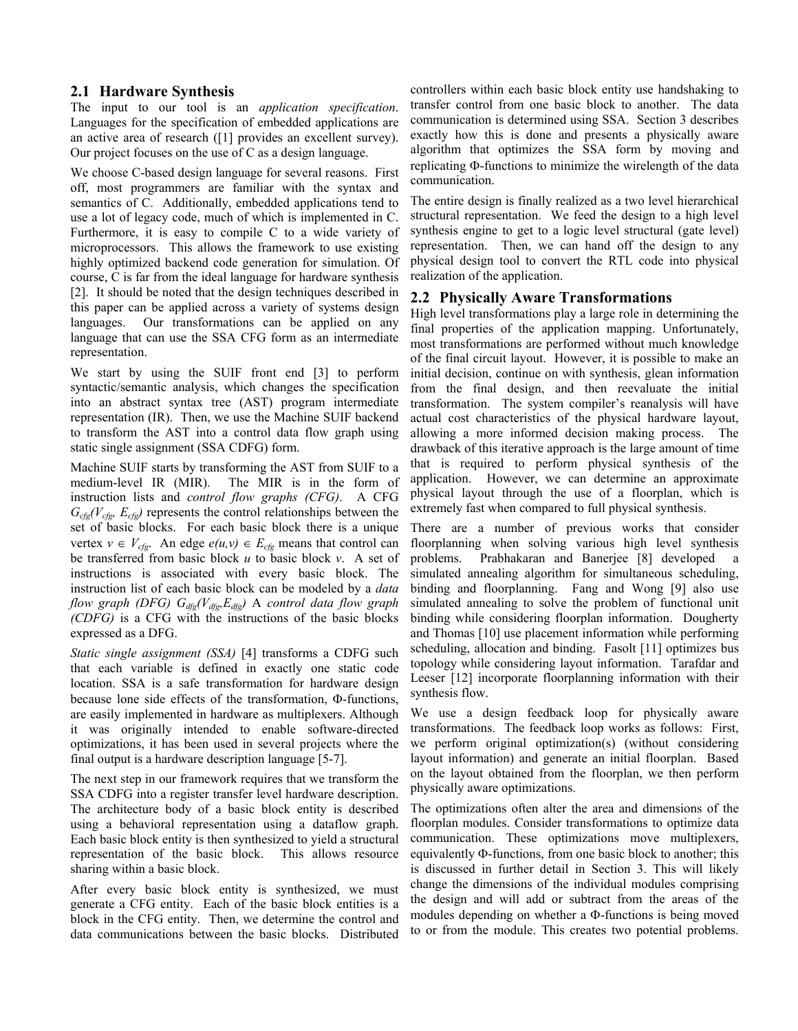## **2.1 Hardware Synthesis**

The input to our tool is an *application specification*. Languages for the specification of embedded applications are an active area of research ([1] provides an excellent survey). Our project focuses on the use of C as a design language.

We choose C-based design language for several reasons. First off, most programmers are familiar with the syntax and semantics of C. Additionally, embedded applications tend to use a lot of legacy code, much of which is implemented in C. Furthermore, it is easy to compile C to a wide variety of microprocessors. This allows the framework to use existing highly optimized backend code generation for simulation. Of course, C is far from the ideal language for hardware synthesis [2]. It should be noted that the design techniques described in this paper can be applied across a variety of systems design languages. Our transformations can be applied on any language that can use the SSA CFG form as an intermediate representation.

We start by using the SUIF front end [3] to perform syntactic/semantic analysis, which changes the specification into an abstract syntax tree (AST) program intermediate representation (IR). Then, we use the Machine SUIF backend to transform the AST into a control data flow graph using static single assignment (SSA CDFG) form.

Machine SUIF starts by transforming the AST from SUIF to a medium-level IR (MIR). The MIR is in the form of instruction lists and *control flow graphs (CFG)*. A CFG  $G_{cfg}(V_{cfg}, E_{cfg})$  represents the control relationships between the set of basic blocks. For each basic block there is a unique vertex  $v \in V_{cfg}$ . An edge  $e(u, v) \in E_{cfg}$  means that control can be transferred from basic block *u* to basic block *v*. A set of instructions is associated with every basic block. The instruction list of each basic block can be modeled by a *data flow graph (DFG) Gdfg(Vdfg,Edfg)* A *control data flow graph (CDFG)* is a CFG with the instructions of the basic blocks expressed as a DFG.

*Static single assignment (SSA)* [4] transforms a CDFG such that each variable is defined in exactly one static code location. SSA is a safe transformation for hardware design because lone side effects of the transformation, Φ-functions, are easily implemented in hardware as multiplexers. Although it was originally intended to enable software-directed optimizations, it has been used in several projects where the final output is a hardware description language [5-7].

The next step in our framework requires that we transform the SSA CDFG into a register transfer level hardware description. The architecture body of a basic block entity is described using a behavioral representation using a dataflow graph. Each basic block entity is then synthesized to yield a structural representation of the basic block. This allows resource sharing within a basic block.

After every basic block entity is synthesized, we must generate a CFG entity. Each of the basic block entities is a block in the CFG entity. Then, we determine the control and data communications between the basic blocks. Distributed

controllers within each basic block entity use handshaking to transfer control from one basic block to another. The data communication is determined using SSA. Section 3 describes exactly how this is done and presents a physically aware algorithm that optimizes the SSA form by moving and replicating Φ-functions to minimize the wirelength of the data communication.

The entire design is finally realized as a two level hierarchical structural representation. We feed the design to a high level synthesis engine to get to a logic level structural (gate level) representation. Then, we can hand off the design to any physical design tool to convert the RTL code into physical realization of the application.

## **2.2 Physically Aware Transformations**

High level transformations play a large role in determining the final properties of the application mapping. Unfortunately, most transformations are performed without much knowledge of the final circuit layout. However, it is possible to make an initial decision, continue on with synthesis, glean information from the final design, and then reevaluate the initial transformation. The system compiler's reanalysis will have actual cost characteristics of the physical hardware layout, allowing a more informed decision making process. The drawback of this iterative approach is the large amount of time that is required to perform physical synthesis of the application. However, we can determine an approximate physical layout through the use of a floorplan, which is extremely fast when compared to full physical synthesis.

There are a number of previous works that consider floorplanning when solving various high level synthesis problems. Prabhakaran and Banerjee [8] developed a simulated annealing algorithm for simultaneous scheduling, binding and floorplanning. Fang and Wong [9] also use simulated annealing to solve the problem of functional unit binding while considering floorplan information. Dougherty and Thomas [10] use placement information while performing scheduling, allocation and binding. Fasolt [11] optimizes bus topology while considering layout information. Tarafdar and Leeser [12] incorporate floorplanning information with their synthesis flow.

We use a design feedback loop for physically aware transformations. The feedback loop works as follows: First, we perform original optimization(s) (without considering layout information) and generate an initial floorplan. Based on the layout obtained from the floorplan, we then perform physically aware optimizations.

The optimizations often alter the area and dimensions of the floorplan modules. Consider transformations to optimize data communication. These optimizations move multiplexers, equivalently Φ-functions, from one basic block to another; this is discussed in further detail in Section 3. This will likely change the dimensions of the individual modules comprising the design and will add or subtract from the areas of the modules depending on whether a Φ-functions is being moved to or from the module. This creates two potential problems.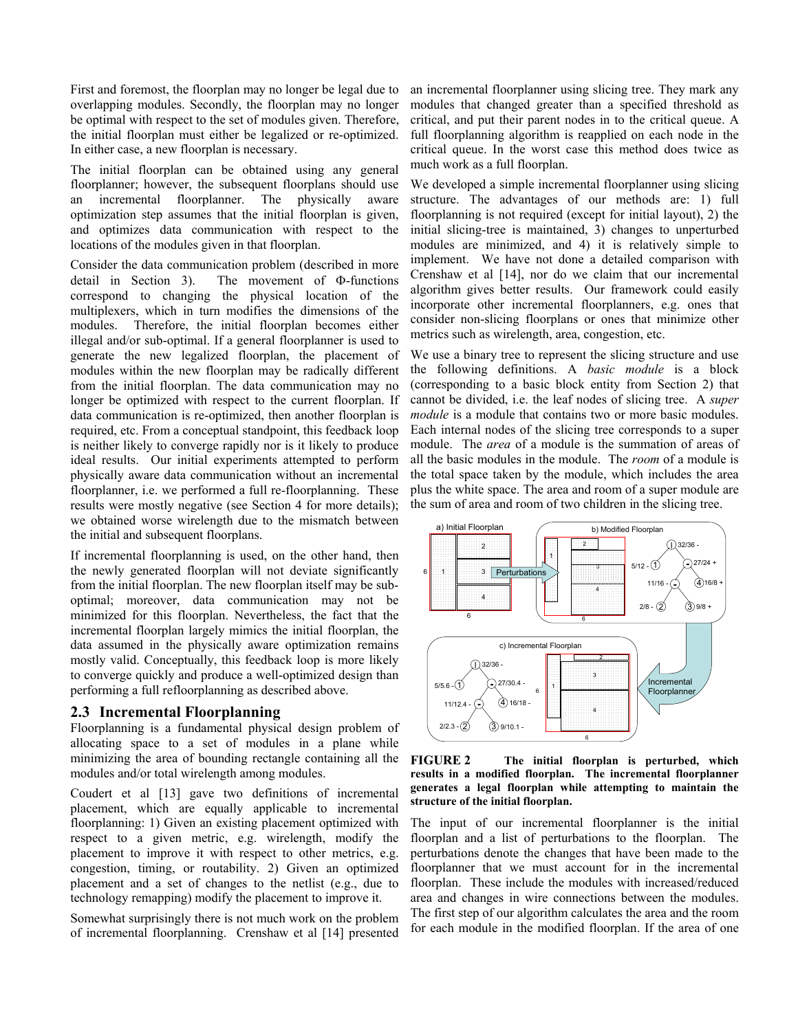First and foremost, the floorplan may no longer be legal due to overlapping modules. Secondly, the floorplan may no longer be optimal with respect to the set of modules given. Therefore, the initial floorplan must either be legalized or re-optimized. In either case, a new floorplan is necessary.

The initial floorplan can be obtained using any general floorplanner; however, the subsequent floorplans should use an incremental floorplanner. The physically aware optimization step assumes that the initial floorplan is given, and optimizes data communication with respect to the locations of the modules given in that floorplan.

Consider the data communication problem (described in more detail in Section 3). The movement of Φ-functions correspond to changing the physical location of the multiplexers, which in turn modifies the dimensions of the modules. Therefore, the initial floorplan becomes either illegal and/or sub-optimal. If a general floorplanner is used to generate the new legalized floorplan, the placement of modules within the new floorplan may be radically different from the initial floorplan. The data communication may no longer be optimized with respect to the current floorplan. If data communication is re-optimized, then another floorplan is required, etc. From a conceptual standpoint, this feedback loop is neither likely to converge rapidly nor is it likely to produce ideal results. Our initial experiments attempted to perform physically aware data communication without an incremental floorplanner, i.e. we performed a full re-floorplanning. These results were mostly negative (see Section 4 for more details); we obtained worse wirelength due to the mismatch between the initial and subsequent floorplans.

If incremental floorplanning is used, on the other hand, then the newly generated floorplan will not deviate significantly from the initial floorplan. The new floorplan itself may be suboptimal; moreover, data communication may not be minimized for this floorplan. Nevertheless, the fact that the incremental floorplan largely mimics the initial floorplan, the data assumed in the physically aware optimization remains mostly valid. Conceptually, this feedback loop is more likely to converge quickly and produce a well-optimized design than performing a full refloorplanning as described above.

## **2.3 Incremental Floorplanning**

Floorplanning is a fundamental physical design problem of allocating space to a set of modules in a plane while minimizing the area of bounding rectangle containing all the modules and/or total wirelength among modules.

Coudert et al [13] gave two definitions of incremental placement, which are equally applicable to incremental floorplanning: 1) Given an existing placement optimized with respect to a given metric, e.g. wirelength, modify the placement to improve it with respect to other metrics, e.g. congestion, timing, or routability. 2) Given an optimized placement and a set of changes to the netlist (e.g., due to technology remapping) modify the placement to improve it.

Somewhat surprisingly there is not much work on the problem of incremental floorplanning. Crenshaw et al [14] presented

an incremental floorplanner using slicing tree. They mark any modules that changed greater than a specified threshold as critical, and put their parent nodes in to the critical queue. A full floorplanning algorithm is reapplied on each node in the critical queue. In the worst case this method does twice as much work as a full floorplan.

We developed a simple incremental floorplanner using slicing structure. The advantages of our methods are: 1) full floorplanning is not required (except for initial layout), 2) the initial slicing-tree is maintained, 3) changes to unperturbed modules are minimized, and 4) it is relatively simple to implement. We have not done a detailed comparison with Crenshaw et al [14], nor do we claim that our incremental algorithm gives better results. Our framework could easily incorporate other incremental floorplanners, e.g. ones that consider non-slicing floorplans or ones that minimize other metrics such as wirelength, area, congestion, etc.

We use a binary tree to represent the slicing structure and use the following definitions. A *basic module* is a block (corresponding to a basic block entity from Section 2) that cannot be divided, i.e. the leaf nodes of slicing tree. A *super module* is a module that contains two or more basic modules. Each internal nodes of the slicing tree corresponds to a super module. The *area* of a module is the summation of areas of all the basic modules in the module. The *room* of a module is the total space taken by the module, which includes the area plus the white space. The area and room of a super module are the sum of area and room of two children in the slicing tree.



**FIGURE 2 The initial floorplan is perturbed, which results in a modified floorplan. The incremental floorplanner generates a legal floorplan while attempting to maintain the structure of the initial floorplan.** 

The input of our incremental floorplanner is the initial floorplan and a list of perturbations to the floorplan. The perturbations denote the changes that have been made to the floorplanner that we must account for in the incremental floorplan. These include the modules with increased/reduced area and changes in wire connections between the modules. The first step of our algorithm calculates the area and the room for each module in the modified floorplan. If the area of one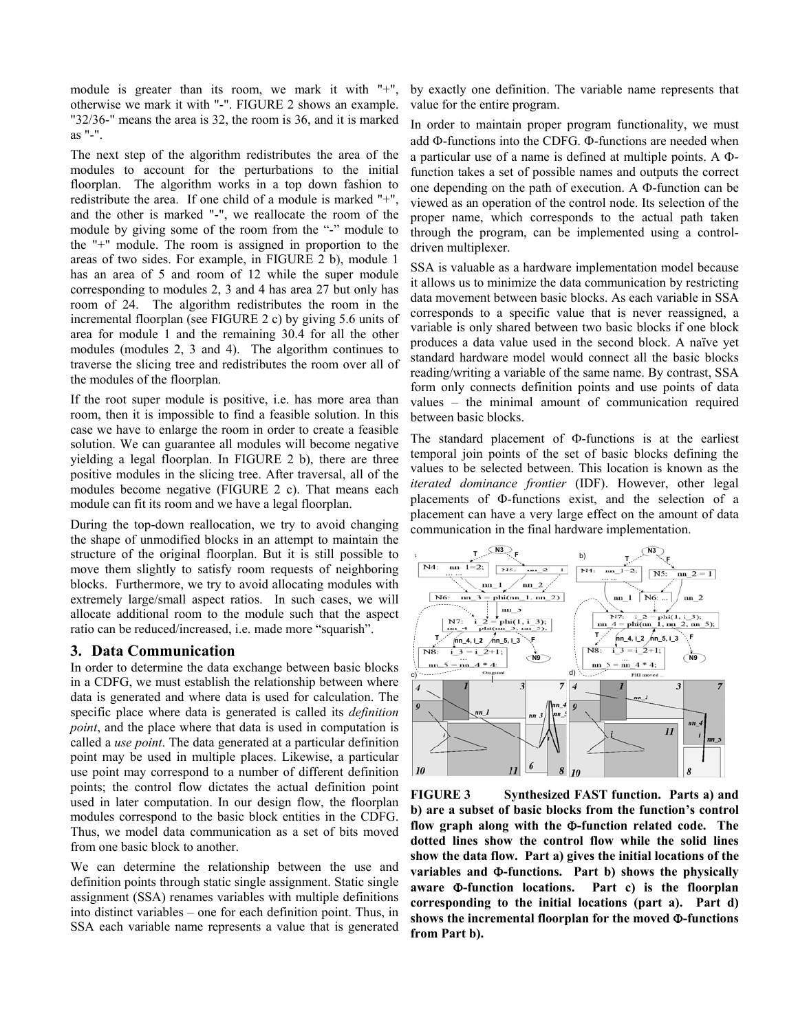module is greater than its room, we mark it with "+", otherwise we mark it with "-". FIGURE 2 shows an example. "32/36-" means the area is 32, the room is 36, and it is marked as "-".

The next step of the algorithm redistributes the area of the modules to account for the perturbations to the initial floorplan. The algorithm works in a top down fashion to redistribute the area. If one child of a module is marked "+", and the other is marked "-", we reallocate the room of the module by giving some of the room from the "-" module to the "+" module. The room is assigned in proportion to the areas of two sides. For example, in FIGURE 2 b), module 1 has an area of 5 and room of 12 while the super module corresponding to modules 2, 3 and 4 has area 27 but only has room of 24. The algorithm redistributes the room in the incremental floorplan (see FIGURE 2 c) by giving 5.6 units of area for module 1 and the remaining 30.4 for all the other modules (modules 2, 3 and 4). The algorithm continues to traverse the slicing tree and redistributes the room over all of the modules of the floorplan.

If the root super module is positive, i.e. has more area than room, then it is impossible to find a feasible solution. In this case we have to enlarge the room in order to create a feasible solution. We can guarantee all modules will become negative yielding a legal floorplan. In FIGURE 2 b), there are three positive modules in the slicing tree. After traversal, all of the modules become negative (FIGURE 2 c). That means each module can fit its room and we have a legal floorplan.

During the top-down reallocation, we try to avoid changing the shape of unmodified blocks in an attempt to maintain the structure of the original floorplan. But it is still possible to move them slightly to satisfy room requests of neighboring blocks. Furthermore, we try to avoid allocating modules with extremely large/small aspect ratios. In such cases, we will allocate additional room to the module such that the aspect ratio can be reduced/increased, i.e. made more "squarish".

## **3. Data Communication**

In order to determine the data exchange between basic blocks in a CDFG, we must establish the relationship between where data is generated and where data is used for calculation. The specific place where data is generated is called its *definition point*, and the place where that data is used in computation is called a *use point*. The data generated at a particular definition point may be used in multiple places. Likewise, a particular use point may correspond to a number of different definition points; the control flow dictates the actual definition point used in later computation. In our design flow, the floorplan modules correspond to the basic block entities in the CDFG. Thus, we model data communication as a set of bits moved from one basic block to another.

We can determine the relationship between the use and definition points through static single assignment. Static single assignment (SSA) renames variables with multiple definitions into distinct variables – one for each definition point. Thus, in SSA each variable name represents a value that is generated by exactly one definition. The variable name represents that value for the entire program.

In order to maintain proper program functionality, we must add Φ-functions into the CDFG. Φ-functions are needed when a particular use of a name is defined at multiple points. A Φfunction takes a set of possible names and outputs the correct one depending on the path of execution. A Φ-function can be viewed as an operation of the control node. Its selection of the proper name, which corresponds to the actual path taken through the program, can be implemented using a controldriven multiplexer.

SSA is valuable as a hardware implementation model because it allows us to minimize the data communication by restricting data movement between basic blocks. As each variable in SSA corresponds to a specific value that is never reassigned, a variable is only shared between two basic blocks if one block produces a data value used in the second block. A naïve yet standard hardware model would connect all the basic blocks reading/writing a variable of the same name. By contrast, SSA form only connects definition points and use points of data values – the minimal amount of communication required between basic blocks.

The standard placement of Φ-functions is at the earliest temporal join points of the set of basic blocks defining the values to be selected between. This location is known as the *iterated dominance frontier* (IDF). However, other legal placements of Φ-functions exist, and the selection of a placement can have a very large effect on the amount of data communication in the final hardware implementation.



**FIGURE 3 Synthesized FAST function. Parts a) and b) are a subset of basic blocks from the function's control flow graph along with the** Φ**-function related code. The dotted lines show the control flow while the solid lines show the data flow. Part a) gives the initial locations of the variables and** Φ**-functions. Part b) shows the physically aware** Φ**-function locations. Part c) is the floorplan corresponding to the initial locations (part a). Part d) shows the incremental floorplan for the moved** Φ**-functions from Part b).**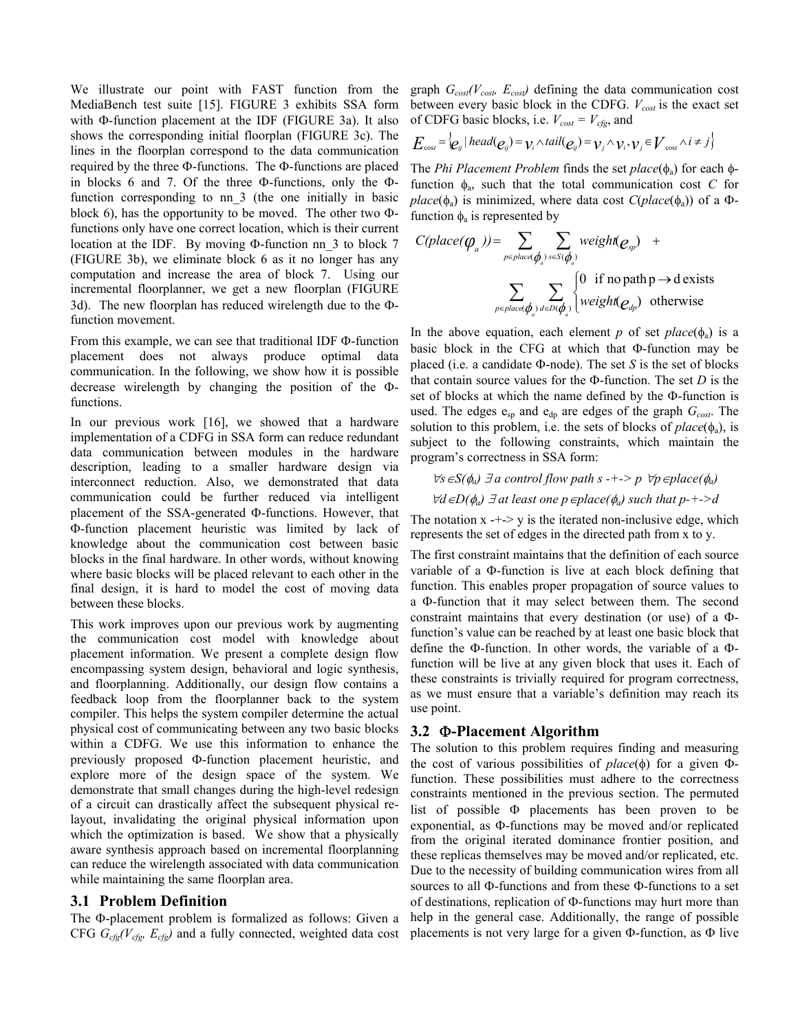We illustrate our point with FAST function from the MediaBench test suite [15]. FIGURE 3 exhibits SSA form with Φ-function placement at the IDF (FIGURE 3a). It also shows the corresponding initial floorplan (FIGURE 3c). The lines in the floorplan correspond to the data communication required by the three Φ-functions. The Φ-functions are placed in blocks 6 and 7. Of the three Φ-functions, only the Φfunction corresponding to nn<sub>3</sub> (the one initially in basic block 6), has the opportunity to be moved. The other two Φfunctions only have one correct location, which is their current location at the IDF. By moving Φ-function nn\_3 to block 7 (FIGURE 3b), we eliminate block 6 as it no longer has any computation and increase the area of block 7. Using our incremental floorplanner, we get a new floorplan (FIGURE 3d). The new floorplan has reduced wirelength due to the Φfunction movement.

From this example, we can see that traditional IDF Φ-function placement does not always produce optimal data communication. In the following, we show how it is possible decrease wirelength by changing the position of the Φfunctions.

In our previous work [16], we showed that a hardware implementation of a CDFG in SSA form can reduce redundant data communication between modules in the hardware description, leading to a smaller hardware design via interconnect reduction. Also, we demonstrated that data communication could be further reduced via intelligent placement of the SSA-generated Φ-functions. However, that Φ-function placement heuristic was limited by lack of knowledge about the communication cost between basic blocks in the final hardware. In other words, without knowing where basic blocks will be placed relevant to each other in the final design, it is hard to model the cost of moving data between these blocks.

This work improves upon our previous work by augmenting the communication cost model with knowledge about placement information. We present a complete design flow encompassing system design, behavioral and logic synthesis, and floorplanning. Additionally, our design flow contains a feedback loop from the floorplanner back to the system compiler. This helps the system compiler determine the actual physical cost of communicating between any two basic blocks within a CDFG. We use this information to enhance the previously proposed Φ-function placement heuristic, and explore more of the design space of the system. We demonstrate that small changes during the high-level redesign of a circuit can drastically affect the subsequent physical relayout, invalidating the original physical information upon which the optimization is based. We show that a physically aware synthesis approach based on incremental floorplanning can reduce the wirelength associated with data communication while maintaining the same floorplan area.

#### **3.1 Problem Definition**

The Φ-placement problem is formalized as follows: Given a CFG  $G_{cfg}(V_{cfg}, E_{cfg})$  and a fully connected, weighted data cost graph  $G_{cost}(V_{cost}, E_{cost})$  defining the data communication cost between every basic block in the CDFG.  $V_{cost}$  is the exact set of CDFG basic blocks, i.e.  $V_{cost} = V_{cfg}$ , and

$$
E_{\text{cos}i} = \bigg\{ e_{ij} | head(e_{ij}) = v_i \wedge tail(e_{ij}) = v_j \wedge v_i, v_j \in V_{\text{cos}i} \wedge i \neq j \bigg\}
$$

The *Phi Placement Problem* finds the set *place*(φ<sub>a</sub>) for each φfunction  $\phi_a$ , such that the total communication cost *C* for *place*( $\phi$ <sub>a</sub>) is minimized, where data cost *C*(*place*( $\phi$ <sub>a</sub>)) of a Φfunction  $φ_0$  is represented by

$$
C(place(\varphi_a)) = \sum_{p \in place(\varphi_a) s \in S(\varphi_a)} \sum_{s \in S(\varphi_a)} weight(\varphi_{sp}) +
$$
  

$$
\sum_{p \in place(\varphi_a) d \in D(\varphi_a)} \begin{cases} 0 & \text{if no path } p \to \text{d exists} \\ weight(\varphi_{ap}) & \text{otherwise} \end{cases}
$$

In the above equation, each element *p* of set *place*( $\phi$ <sub>a</sub>) is a basic block in the CFG at which that Φ-function may be placed (i.e. a candidate Φ-node). The set *S* is the set of blocks that contain source values for the Φ-function. The set *D* is the set of blocks at which the name defined by the Φ-function is used. The edges e<sub>sp</sub> and e<sub>dp</sub> are edges of the graph  $G_{cost}$ . The solution to this problem, i.e. the sets of blocks of *place*( $\phi_a$ ), is subject to the following constraints, which maintain the program's correctness in SSA form:

 $\forall s \in S(\phi_a)$  ∃ a control flow path s -+-> p  $\forall p \in place(\phi_a)$ 

 $\forall d ∈ D(\phi_a) \exists$  at least one  $p ∈ place(\phi_a)$  such that  $p+{-}>d$ 

The notation  $x \rightarrow z$  is the iterated non-inclusive edge, which represents the set of edges in the directed path from x to y.

The first constraint maintains that the definition of each source variable of a Φ-function is live at each block defining that function. This enables proper propagation of source values to a Φ-function that it may select between them. The second constraint maintains that every destination (or use) of a Φfunction's value can be reached by at least one basic block that define the Φ-function. In other words, the variable of a Φfunction will be live at any given block that uses it. Each of these constraints is trivially required for program correctness, as we must ensure that a variable's definition may reach its use point.

#### **3.2** Φ**-Placement Algorithm**

The solution to this problem requires finding and measuring the cost of various possibilities of *place*(φ) for a given Φfunction. These possibilities must adhere to the correctness constraints mentioned in the previous section. The permuted list of possible Φ placements has been proven to be exponential, as Φ-functions may be moved and/or replicated from the original iterated dominance frontier position, and these replicas themselves may be moved and/or replicated, etc. Due to the necessity of building communication wires from all sources to all Φ-functions and from these Φ-functions to a set of destinations, replication of Φ-functions may hurt more than help in the general case. Additionally, the range of possible placements is not very large for a given Φ-function, as Φ live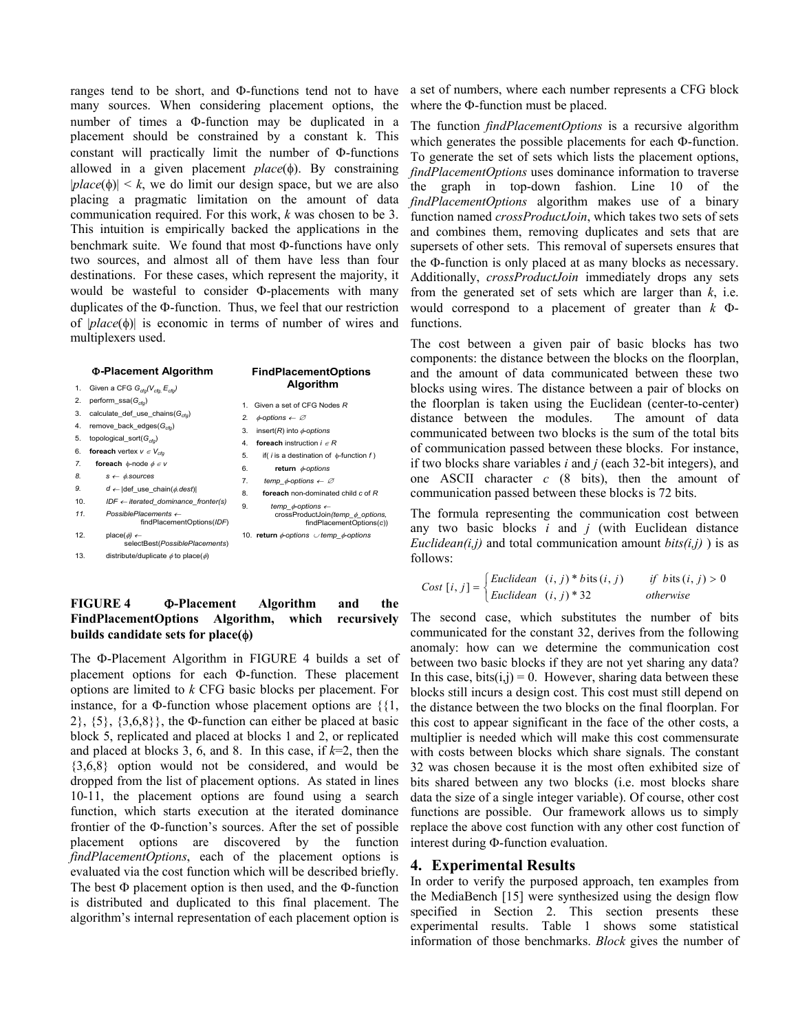ranges tend to be short, and Φ-functions tend not to have many sources. When considering placement options, the number of times a Φ-function may be duplicated in a placement should be constrained by a constant k. This constant will practically limit the number of Φ-functions allowed in a given placement *place*(φ). By constraining  $|place(\phi)| \leq k$ , we do limit our design space, but we are also placing a pragmatic limitation on the amount of data communication required. For this work, *k* was chosen to be 3. This intuition is empirically backed the applications in the benchmark suite. We found that most Φ-functions have only two sources, and almost all of them have less than four destinations. For these cases, which represent the majority, it would be wasteful to consider Φ-placements with many duplicates of the Φ-function. Thus, we feel that our restriction of |*place*(φ)| is economic in terms of number of wires and multiplexers used.

> 1. Given a set of CFG Nodes *R 2.* φ*-options* <sup>←</sup> ∅ 3. insert(*R*) into φ*-options* 4. **foreach** instruction *i* <sup>∈</sup> *R* 5. if( *i* is a destination of φ-function *f* ) 6. **return** φ*-options* 7. *temp\_*φ*-options* <sup>←</sup> ∅ 8. **foreach** non-dominated child *c* of *R*

**Algorithm**

9. *temp\_*φ*-options* <sup>←</sup>

10. **return** φ*-options* <sup>∪</sup> *temp\_*φ*-options*

crossProductJoin*(temp\_*φ*\_options,* findPlacementOptions(*c*))

#### Φ**-Placement Algorithm FindPlacementOptions**

- 1. Given a CFG *Gcfg(Vcfg, Ecfg)* 2. perform\_ssa( $G_{cfg}$ )
- 3. calculate\_def\_use\_chains( $G<sub>cfq</sub>$ ) 4. remove\_back\_edges( $G<sub>cfg</sub>$ )
- 5. topological\_sort(*Gcfg*)
- 6. **foreach** vertex  $v \in V_{cfg}$
- *7.* **foreach**  $\phi$ -node  $\phi \in V$
- *8. s* <sup>←</sup> φ*.sources*
- *9. d* <sup>←</sup> |def\_use\_chain(φ*.dest*)|
- 10. *IDF* <sup>←</sup> *iterated\_dominance\_fronter(s)*
- *11. PossiblePlacements* <sup>←</sup>
- findPlacementOptions(*IDF*)
- 12. place(φ*)* <sup>←</sup> selectBest(*PossiblePlacements*)
- 13. distribute/duplicate φ to place(φ)

## **FIGURE 4** Φ**-Placement Algorithm and the FindPlacementOptions Algorithm, which recursively builds candidate sets for place(**φ**)**

The Φ-Placement Algorithm in FIGURE 4 builds a set of placement options for each Φ-function. These placement options are limited to *k* CFG basic blocks per placement. For instance, for a  $\Phi$ -function whose placement options are  $\{1,$ 2},  $\{5\}$ ,  $\{3,6,8\}$ }, the Φ-function can either be placed at basic block 5, replicated and placed at blocks 1 and 2, or replicated and placed at blocks 3, 6, and 8. In this case, if *k*=2, then the {3,6,8} option would not be considered, and would be dropped from the list of placement options. As stated in lines 10-11, the placement options are found using a search function, which starts execution at the iterated dominance frontier of the Φ-function's sources. After the set of possible placement options are discovered by the function *findPlacementOptions*, each of the placement options is evaluated via the cost function which will be described briefly. The best Φ placement option is then used, and the Φ-function is distributed and duplicated to this final placement. The algorithm's internal representation of each placement option is

a set of numbers, where each number represents a CFG block where the Φ-function must be placed.

The function *findPlacementOptions* is a recursive algorithm which generates the possible placements for each Φ-function. To generate the set of sets which lists the placement options, *findPlacementOptions* uses dominance information to traverse the graph in top-down fashion. Line 10 of the *findPlacementOptions* algorithm makes use of a binary function named *crossProductJoin*, which takes two sets of sets and combines them, removing duplicates and sets that are supersets of other sets. This removal of supersets ensures that the Φ-function is only placed at as many blocks as necessary. Additionally, *crossProductJoin* immediately drops any sets from the generated set of sets which are larger than *k*, i.e. would correspond to a placement of greater than *k* Φfunctions.

The cost between a given pair of basic blocks has two components: the distance between the blocks on the floorplan, and the amount of data communicated between these two blocks using wires. The distance between a pair of blocks on the floorplan is taken using the Euclidean (center-to-center) distance between the modules. The amount of data communicated between two blocks is the sum of the total bits of communication passed between these blocks. For instance, if two blocks share variables *i* and *j* (each 32-bit integers), and one ASCII character *c* (8 bits), then the amount of communication passed between these blocks is 72 bits.

The formula representing the communication cost between any two basic blocks *i* and *j* (with Euclidean distance *Euclidean(i,j)* and total communication amount *bits(i,j)*) is as follows:

Cost 
$$
[i, j]
$$
 = 
$$
\begin{cases} Euclidean & (i, j) * bits (i, j) & \text{if } bits (i, j) > 0\\ Euclidean & (i, j) * 32 & \text{otherwise} \end{cases}
$$

The second case, which substitutes the number of bits communicated for the constant 32, derives from the following anomaly: how can we determine the communication cost between two basic blocks if they are not yet sharing any data? In this case, bits $(i,j) = 0$ . However, sharing data between these blocks still incurs a design cost. This cost must still depend on the distance between the two blocks on the final floorplan. For this cost to appear significant in the face of the other costs, a multiplier is needed which will make this cost commensurate with costs between blocks which share signals. The constant 32 was chosen because it is the most often exhibited size of bits shared between any two blocks (i.e. most blocks share data the size of a single integer variable). Of course, other cost functions are possible. Our framework allows us to simply replace the above cost function with any other cost function of interest during Φ-function evaluation.

## **4. Experimental Results**

In order to verify the purposed approach, ten examples from the MediaBench [15] were synthesized using the design flow specified in Section 2. This section presents these experimental results. Table 1 shows some statistical information of those benchmarks. *Block* gives the number of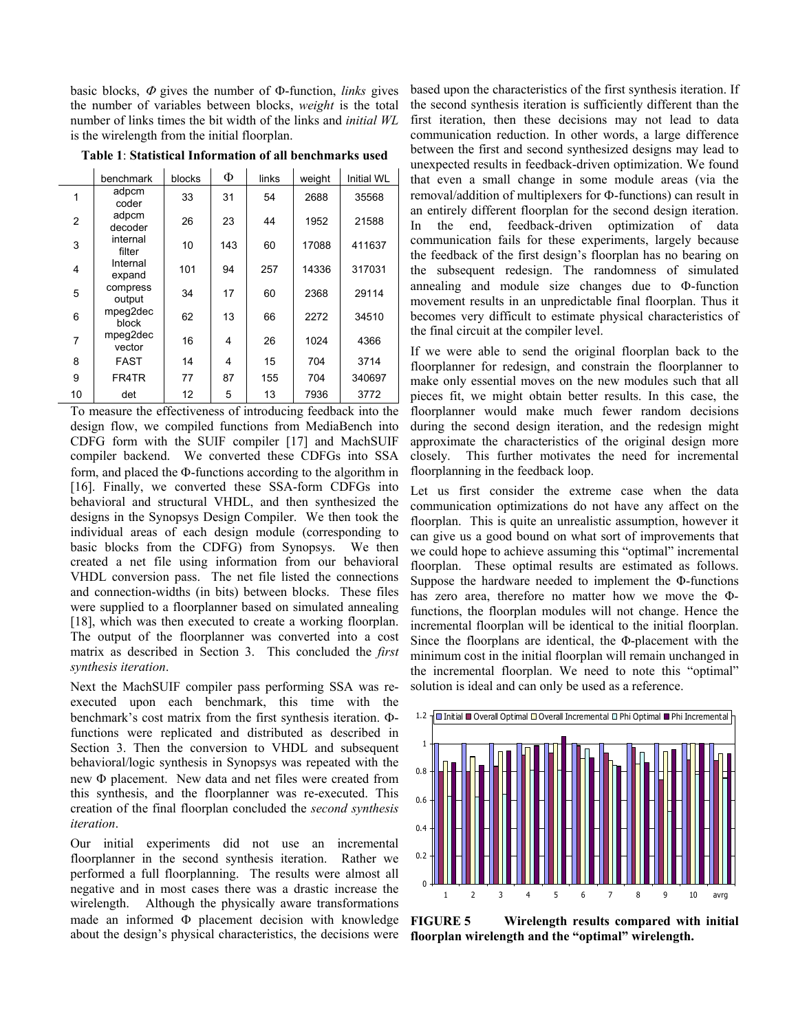basic blocks, <sup>Φ</sup> gives the number of Φ-function, *links* gives the number of variables between blocks, *weight* is the total number of links times the bit width of the links and *initial WL* is the wirelength from the initial floorplan.

| Table 1: Statistical Information of all benchmarks used |  |
|---------------------------------------------------------|--|
|---------------------------------------------------------|--|

|                | benchmark          | blocks | Ф   | links | weight | Initial WL |
|----------------|--------------------|--------|-----|-------|--------|------------|
| 1              | adpcm<br>coder     | 33     | 31  | 54    | 2688   | 35568      |
| $\overline{2}$ | adpcm<br>decoder   | 26     | 23  | 44    | 1952   | 21588      |
| 3              | internal<br>filter | 10     | 143 | 60    | 17088  | 411637     |
| 4              | Internal<br>expand | 101    | 94  | 257   | 14336  | 317031     |
| 5              | compress<br>output | 34     | 17  | 60    | 2368   | 29114      |
| 6              | mpeg2dec<br>block  | 62     | 13  | 66    | 2272   | 34510      |
| 7              | mpeg2dec<br>vector | 16     | 4   | 26    | 1024   | 4366       |
| 8              | <b>FAST</b>        | 14     | 4   | 15    | 704    | 3714       |
| 9              | FR4TR              | 77     | 87  | 155   | 704    | 340697     |
| 10             | det                | 12     | 5   | 13    | 7936   | 3772       |

To measure the effectiveness of introducing feedback into the design flow, we compiled functions from MediaBench into CDFG form with the SUIF compiler [17] and MachSUIF compiler backend. We converted these CDFGs into SSA form, and placed the Φ-functions according to the algorithm in [16]. Finally, we converted these SSA-form CDFGs into behavioral and structural VHDL, and then synthesized the designs in the Synopsys Design Compiler. We then took the individual areas of each design module (corresponding to basic blocks from the CDFG) from Synopsys. We then created a net file using information from our behavioral VHDL conversion pass. The net file listed the connections and connection-widths (in bits) between blocks. These files were supplied to a floorplanner based on simulated annealing [18], which was then executed to create a working floorplan. The output of the floorplanner was converted into a cost matrix as described in Section 3. This concluded the *first synthesis iteration*.

Next the MachSUIF compiler pass performing SSA was reexecuted upon each benchmark, this time with the benchmark's cost matrix from the first synthesis iteration. Φfunctions were replicated and distributed as described in Section 3. Then the conversion to VHDL and subsequent behavioral/logic synthesis in Synopsys was repeated with the new Φ placement. New data and net files were created from this synthesis, and the floorplanner was re-executed. This creation of the final floorplan concluded the *second synthesis iteration*.

Our initial experiments did not use an incremental floorplanner in the second synthesis iteration. Rather we performed a full floorplanning. The results were almost all negative and in most cases there was a drastic increase the wirelength. Although the physically aware transformations made an informed Φ placement decision with knowledge about the design's physical characteristics, the decisions were

based upon the characteristics of the first synthesis iteration. If the second synthesis iteration is sufficiently different than the first iteration, then these decisions may not lead to data communication reduction. In other words, a large difference between the first and second synthesized designs may lead to unexpected results in feedback-driven optimization. We found that even a small change in some module areas (via the removal/addition of multiplexers for Φ-functions) can result in an entirely different floorplan for the second design iteration. In the end, feedback-driven optimization of data communication fails for these experiments, largely because the feedback of the first design's floorplan has no bearing on the subsequent redesign. The randomness of simulated annealing and module size changes due to Φ-function movement results in an unpredictable final floorplan. Thus it becomes very difficult to estimate physical characteristics of the final circuit at the compiler level.

If we were able to send the original floorplan back to the floorplanner for redesign, and constrain the floorplanner to make only essential moves on the new modules such that all pieces fit, we might obtain better results. In this case, the floorplanner would make much fewer random decisions during the second design iteration, and the redesign might approximate the characteristics of the original design more closely. This further motivates the need for incremental floorplanning in the feedback loop.

Let us first consider the extreme case when the data communication optimizations do not have any affect on the floorplan. This is quite an unrealistic assumption, however it can give us a good bound on what sort of improvements that we could hope to achieve assuming this "optimal" incremental floorplan. These optimal results are estimated as follows. Suppose the hardware needed to implement the Φ-functions has zero area, therefore no matter how we move the Φfunctions, the floorplan modules will not change. Hence the incremental floorplan will be identical to the initial floorplan. Since the floorplans are identical, the Φ-placement with the minimum cost in the initial floorplan will remain unchanged in the incremental floorplan. We need to note this "optimal" solution is ideal and can only be used as a reference.



**FIGURE 5 Wirelength results compared with initial floorplan wirelength and the "optimal" wirelength.**